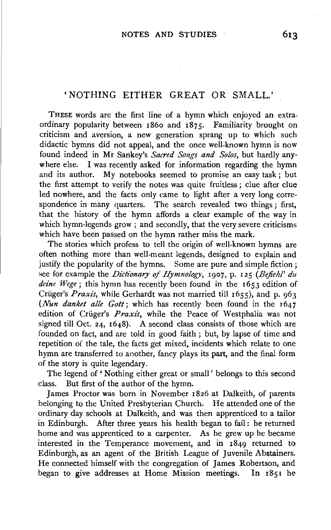## 'NOTHING EITHER GREAT OR SMALL.'

THESE words are the first line of a hymn which enjoyed an extraordinary popularity between  $r860$  and  $r875$ . Familiarity brought on criticism and aversion, a new generation sprang up to which such didactic hymns did not appeal, and the once well-known hymn is now found indeed in Mr Sankey's *Sacred Songs and Solos,* but hardly anywhere else. I was recently asked for information regarding the hymn and its author. My notebooks seemed to promise an easy task; but the first attempt to verify the notes was quite fruitless; clue after clue led nowhere, and the facts only came to light after a very long correspondence in many quarters. The search revealed two things; first, that the history of the hymn affords a clear example of the way in which hymn-legends grow ; and secondly, that the very severe criticisms which have been passed on the hymn rather miss the mark.

The stories which profess to tell the origin of well-known hymns are often nothing more than well-meant legends, designed to explain and justify the popularity of the hymns. Some are pure and simple fiction ; see for example the *Dictionary of Hymnology*, 1907, p. 125 *(Befiehl' du deine Wege;* this hymn has recently been found in the 1653 edition of Crüger's *Praxis*, while Gerhardt was not married till 1655), and p. 963 *(Nun danket alle Gott;* which has recently been found in the r647 edition of Crüger's *Praxis*, while the Peace of Westphalia was not signed till Oct. 24, 1648). A second class consists of those which are founded on fact, and are told in good faith ; but, by lapse of time and repetition of the tale, the facts get mixed, incidents which relate to one hymn are transferred to another, fancy plays its part, and the final form of the story is quite legendary.

The legend of' Nothing either great or small' belongs to this second class. But first of the author of the hymn.

James Proctor was born in November 1826 at Dalkeith, of parents belonging to the United Presbyterian Church. He attended one of the ordinary day schools at Dalkeith, and was then apprenticed to a tailor in Edinburgh. After three years his health began to fail: he returned home and was apprenticed to a carpenter. As he grew up he became interested in the Temperance movement, and in 1849 returned to Edinburgh, as an agent of the British League of Juvenile Abstainers. He connected himself with the congregation of James Robertson, and began to give addresses at Home Mission meetings. In 1851 he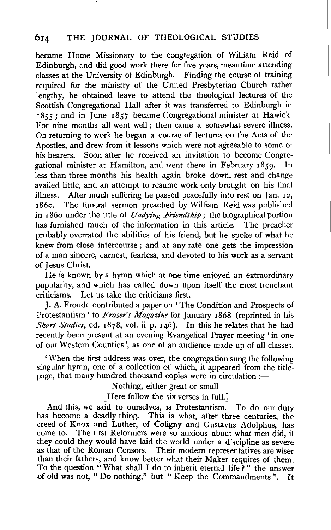### 614 THE JOURNAL OF THEOLOGICAL STUDIES

became Home Missionary to the congregation of William Reid of Edinburgh, and did good work there for five years, meantime attending classes at the University of Edinburgh. Finding the course of training required for the ministry of the United Presbyterian Church rather lengthy, he obtained leave to attend the theological lectures of the Scottish Congregational Hall after it was transferred to Edinburgh in 1855; and in June r857 became Congregational minister at Hawick. For nine months all went well; then came a somewhat severe illness. On returning to work he began a course of lectures on the Acts of the Apostles, and drew from it lessons which were not agreeable to some of his hearers. Soon after he received an invitation to become Congregational minister at Hamilton, and went there in February 1859. less than three months his health again broke down, rest and change availed little, and an attempt to resume work only brought on his final illness. After much suffering he passed peacefully into rest on Jan. 12, r86o. The funeral sermon preached by William Reid was published in r86o under the title of *Undying Friendship;* the biographical portion has furnished much of the information in this article. The preacher probably overrated the abilities of his friend, but he spoke of what he knew from close intercourse ; and at any rate one gets the impression of a man sincere, earnest, fearless, and devoted to his work as a servant of Jesus Christ.

He is known by a hymn which at one time enjoyed an extraordinary popularity, and which has called down upon itself the most trenchant cnticisms. Let us take the criticisms first.

J. A. Froude contributed a paper on 'The Condition and Prospects of Protestantism' to *Erasers Magazine* for January r868 {reprinted in his *Short Studies,* ed. 1878, vol. ii p. r46). In this he relates that he had recently been present at an evening Evangelical Prayer meeting 'in one of our Western Counties', as one of an audience made up of all classes.

'When the first address was over, the congregation sung the following singular hymn, one of a collection of which, it appeared from the titlepage, that many hundred thousand copies were in circulation: $\frac{1}{1}$ 

Nothing, either great or small

[Here follow the six verses in full.]

And this, we said to ourselves, is Protestantism. To do our duty has become a deadly thing. This is what, after three centuries, the creed of Knox and Luther, of Coligny and Gustavus Adolphus, has come to. The first Reformers were so anxious about what men did, if they could they would have laid the world under a discipline as severe as that of the Roman Censors. Their modern representatives are wiser than their fathers, and know better what their Maker requires of them. To the question " What shall I do to inherit eternal life?" the answer of old was not, "Do nothing," but "Keep the Commandments". It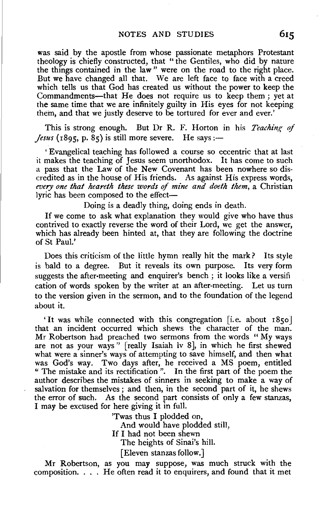was said by the apostle from whose passionate metaphors Protestant theology is chiefly constructed, that " the Gentiles, who did by nature the things contained in the law " were on the road to the right place. But we have changed all that. We are left face to face with a creed which tells us that God has created us without the power to keep the Commandments-that He does not require us to keep them; yet at the same time that we are infinitely guilty in His eyes for not keeping them, and that we justly deserve to be tortured for ever and ever.'

This is strong enough. But Dr R. F. Horton in his *Teaching of (* $r895$ *, p.*  $85$ *) is still more severe. He says:—* 

' Evangelical teaching has followed a course so eccentric that at last it makes the teaching of Jesus seem unorthodox. It has come to such a pass that the Law of the New Covenant has been nowhere so discredited as in the house of His friends. As against His express words, *every one that heareth these words* of *mine and doeth them,* a Christian lyric has been composed to the effect-

Doing is a deadly thing, doing ends in death.

If we come to ask what explanation they would give who have thus contrived to exactly reverse the word of their Lord, we get the answer, which has already been hinted at, that they are following the doctrine of St Paul.'

Does this criticism of the little hymn really hit the mark? Its style is bald to a degree. But it reveals its own purpose. Its very form suggests the after-meeting and enquirer's bench ; it looks like a versifi cation of words spoken by the writer at an after-meeting. Let us turn to the version given in the sermon, and to the foundation of the legend about it.

'It was while connected with this congregation [i.e. about 1850] that an incident occurred which shews the character of the man. Mr Robertson had preached two sermons from the words "My ways are not as your ways'' [really Isaiah lv 8], in which he first shewed what were a sinner's ways of attempting to save himself, and then what was God's way. Two days after, he received a MS poem, entitled " The mistake and its rectification". In the first part of the poem the author describes the mistakes of sinners in seeking to make a way of salvation for themselves ; and then, in the second part of it, he shews the error of such. As the second part consists of only a few stanzas, I may be excused for here giving it in full.

> 'Twas thus I plodded on, And would have plodded still, If I had not been shewn The heights of Sinai's hill. [Eleven stanzas follow.]

Mr Robertson, as you may suppose, was much struck with the composition. . . . He often read it to enquirers, and found that it met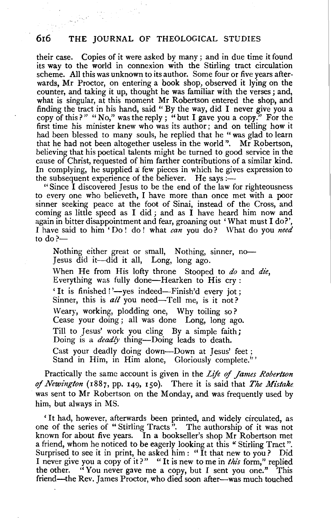## 6r6 THE JOURNAL OF THEOLOGICAL STUDIES

their case. Copies of it were asked by many; and in due time it found its way to the world in connexion with the Stirling tract circulation scheme. All this was unknown to its author. Some four or five years afterwards, Mr Proctor, on entering a book shop, observed it lying on the counter, and taking it up, thought he was familiar with the verses; and, what is singular, at this moment Mr Robertson entered the shop, and finding the tract in his hand, said "By the way, did I never give you a copy of this?" "No," was the reply ; "but I gave you a copy." For the first time his minister knew who was its author ; and on telling how it had been blessed to many souls, he replied that he " was glad to learn that he had not been altogether useless in the world". Mr Robertson, believing that his poetical talents might be turned to good service in the cause of Christ, requested of him farther contributions of a similar kind. In complying, he supplied a few pieces in which he gives expression to the subsequent experience of the believer. He says :the subsequent experience of the believer. He says :—<br>"Since I discovered Jesus to be the end of the law for righteousness

to every one who believeth, I have more than once met with a poor sinner seeking peace at the foot of Sinai, instead of the Cross, and coming as little speed as I did ; and as I have heard him now and again in bitter disappointment and fear, groaning out 'What must I do?', I have said to him 'Do ! do ! what *can* you do? What do you *need*  to do?-

Nothing either great or small, Nothing, sinner, no-Jesus did it-did it all, Long, long ago. When He from His lofty throne Stooped to *do* and *die,*  Everything was fully done-Hearken to His cry: 'It is finished!'-yes indeed-Finish'd every jot; Sinner, this is *all* you need—Tell me, is it not? Weary, working, plodding one, Why toiling so? Cease your doing ; all was done Long, long ago. Till to Jesus' work you cling By a simple faith; Doing is a *deadly* thing-Doing leads to death. Cast your deadly doing down-Down at Jesus' feet; Stand in Him, in Him alone, Gloriously complete."'

Practically the same account is given in the *Life of James Robertson of Newington* (1887, pp. 149, 150). There it is said that *The Mistake*  was sent to Mr Robertson on the Monday, and was frequently used by him, but always in MS.

' It had, however, afterwards been printed, and widely circulated, as one of the series of "Stirling Tracts". The authorship of it was not known for about five years. In a bookseller's shop Mr Robertson met a friend, whom he noticed to be eagerly looking at this "Stirling Tract". Surprised to see it in print, he asked him : " It that new to you? Did I never give you a copy of it?" "It is new to me in *this* form," replied the other. "You never gave me a copy, but I sent you one." This friend-the Rev. James Proctor, who died soon after-was much touched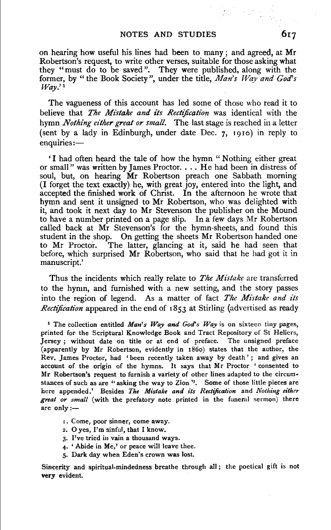on hearing how useful his lines had been to many; and agreed, at Mr Robertson's request, to write other verses, suitable for those asking what they "must do to be saved". They were published, along with the former, by " the Book Society", under the title, Man's Way and God's  $Wav$ <sup>'</sup>

The vagueness of this account has led some of those who read it to believe that *The Mistake and its Rectification* was identical with the hymn *Nothing either great or small.* The last stage is reached in a letter (sent by a lady in Edinburgh, under date Dec.  $7$ ,  $1910$ ) in reply to enquiries:-

'I had often heard the tale of how the hymn "Nothing either great or small" was written by James Proctor .... He had been in distress of soul, but, on hearing Mr Robertson preach one Sabbath morning (I forget the text exactly) he, with great joy, entered into the light, and accepted the finished work of Christ. In the afternoon he wrote that hymn and sent it unsigned to Mr Robertson, who was delighted with it, and took it next day to Mr Stevenson the publisher on the Mound to have a number printed on a page slip. In a few days Mr Robertson called back at Mr Stevenson's for the hymn-sheets, and found this student in the shop. On getting the sheets Mr Robertson handed one to Mr Proctor. The latter, glancing at it, said he had seen that before, which surprised Mr Robertson, who said that he had got it in manuscript.'

Thus the incidents which really relate to *The Mistake* are transferred to the hymn, and furnished with a new setting, and the story passes into the region of legend. As a matter of fact *The Mistake and its Rectification* appeared in the end of 1853 at Stirling (advertised as ready

1 The collection entitled *Man's Way and God's Way* is on sixteen tiny pages, printed for the Scriptural Knowledge Book and Tract Repository of St Heliers, Jersey ; without date on title or at end of preface. The unsigned preface (apparently by Mr Robertson, evidently in 186o) states that the author, the Rev. James Proctor, had 'been recently taken away by death' ; and gives an account of the origin of the hymns. It says that Mr Proctor 'consented to Mr Robertson's request to furnish a variety of other lines adapted to the circumstances of such as are ''asking the way to Zion ''. Some of those little pieces are here appended.' Besides *The Mistake and its Rectification* and *Nothing either great or small* (with the prefatory note printed in the funeral sermon) there are only: $-$ 

- r. Come, poor sinner, come away.
- 2. 0 yes, I'm sinful, that I know.
- 3· I've tried in vain a thousand ways.
- 4• 'Abide in Me,' or peace will leave thee.
- 5· Dark day when Eden's crown was lost.

Sincerity and spiritual-mindedness breathe through all ; the poetical gift is not very evident.

经营费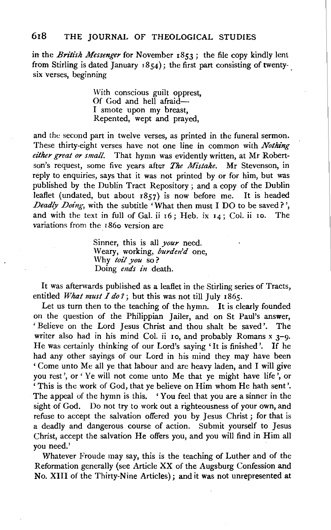# 6r8 THE JOURNAL OF THEOLOGICAL STUDIES

in the *British Messenger* for November x853; the file copy kindly lent from Stirling is dated January  $r854$ ; the first part consisting of twentysix verses, beginning

> With conscious guilt opprest, Of God and hell afraid- I smote upon my breast, Repented, wept and prayed,

and the second part in twelve verses, as printed in the funeral sermon. These thirty-eight verses have not one line in common with *Nothing either great or small.* That hymn was evidently written, at Mr Robertson's request, some five years after *The Mistake.* Mr Stevenson, in reply to enquiries, says that it was not printed by or for him, but was published by the Dublin Tract Repository ; and a copy of the Dublin leaflet (undated, but about  $x857$ ) is now before me. It is headed *Deadly Doing,* with the subtitle 'What then must I DO to be saved? ', and with the text in full of Gal. ii  $16$ ; Heb. ix  $14$ ; Col. ii 10. The variations from the 186o version are

> Sinner, this is all *your* need. \Veary, working, *burden'd* one, Why *toil you* so ? Doing *ends in* death.

It was afterwards published as a leaflet in the Stirling series of Tracts, entitled *What must I do?*; but this was not till July 1865.

Let us turn then to the teaching of the hymn. It is clearly founded on the question of the Philippian Jailer, and on St Paul's answer, ' Believe on the Lord Jesus Christ and thou shalt be saved'. The writer also had in his mind Col. ii 10, and probably Romans x 3-9. He was certainly thinking of our Lord's saying 'It is finished'. If he had any other sayings of our Lord in his mind they may have been 'Come unto Me all ye that labour and are heavy laden, and I will give you rest', or ' Ye will not come unto Me that ye might have life', or 'This is the work of God, that ye believe on Him whom He bath sent'. The appeal of the hymn is this. 'You feel that you are a sinner in the sight of God. Do not try to work out a righteousness of your own, and refuse to accept the salvation offered you by Jesus Christ ; for that is a deadly and dangerous course of action. Submit yourself to Jesus Christ, accept the salvation He offers you, and you will find in Him all you need.'

Whatever Froude may say, this is the teaching of Luther and of the Reformation generally (see Article XX of the Augsburg Confession and No. XIII of the Thirty-Nine Articles); and it was not unrepresented at